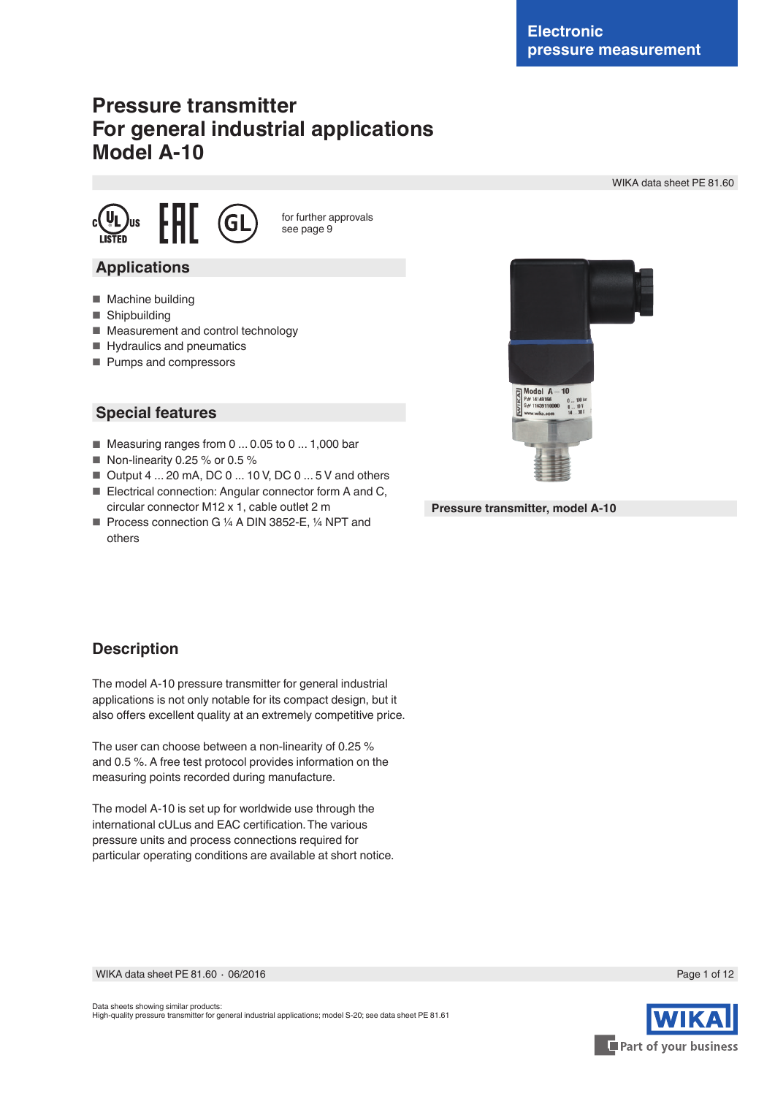# **Pressure transmitter For general industrial applications Model A-10**

WIKA data sheet PE 81.60





for further approvals see page 9

### **Applications**

- Machine building
- Shipbuilding
- Measurement and control technology
- Hydraulics and pneumatics
- Pumps and compressors

### **Special features**

- Measuring ranges from 0 ... 0.05 to 0 ... 1,000 bar
- Non-linearity 0.25 % or 0.5 %
- Output 4 ... 20 mA, DC 0 ... 10 V, DC 0 ... 5 V and others
- Electrical connection: Angular connector form A and C, circular connector M12 x 1, cable outlet 2 m
- Process connection G ¼ A DIN 3852-E, ¼ NPT and others



**Pressure transmitter, model A-10**

### **Description**

The model A-10 pressure transmitter for general industrial applications is not only notable for its compact design, but it also offers excellent quality at an extremely competitive price.

The user can choose between a non-linearity of 0.25 % and 0.5 %. A free test protocol provides information on the measuring points recorded during manufacture.

The model A-10 is set up for worldwide use through the international cULus and EAC certification. The various pressure units and process connections required for particular operating conditions are available at short notice.

WIKA data sheet PE 81.60 ⋅ 06/2016 Page 1 of 12

Data sheets showing similar products: High-quality pressure transmitter for general industrial applications; model S-20; see data sheet PE 81.61



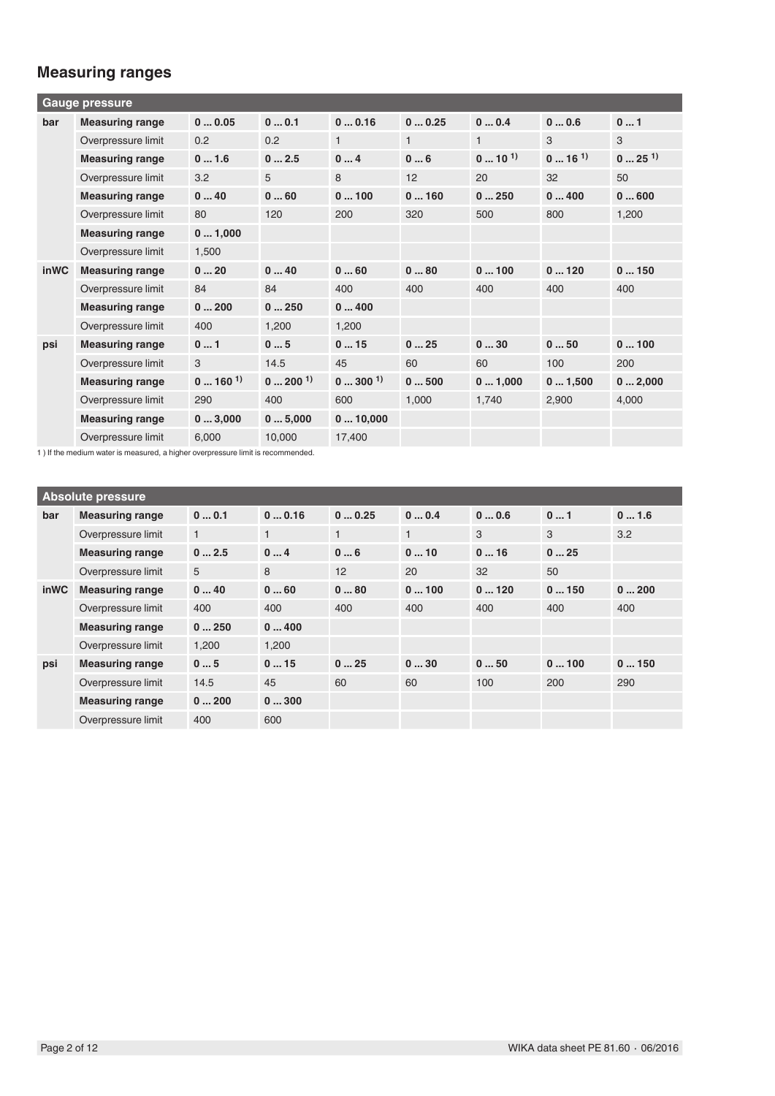# **Measuring ranges**

|      | Gauge pressure                                                                                                                           |                   |                             |                   |              |                  |                  |                     |
|------|------------------------------------------------------------------------------------------------------------------------------------------|-------------------|-----------------------------|-------------------|--------------|------------------|------------------|---------------------|
| bar  | <b>Measuring range</b>                                                                                                                   | 00.05             | 00.1                        | 00.16             | 00.25        | 00.4             | 00.6             | 01                  |
|      | Overpressure limit                                                                                                                       | 0.2               | 0.2                         | $\mathbf{1}$      | $\mathbf{1}$ | $\mathbf{1}$     | 3                | 3                   |
|      | <b>Measuring range</b>                                                                                                                   | 01.6              | 02.5                        | 04                | 06           | $0 \dots 10^{1}$ | $0 \dots 16^{1}$ | $025$ <sup>1)</sup> |
|      | Overpressure limit                                                                                                                       | 3.2               | 5                           | 8                 | 12           | 20               | 32               | 50                  |
|      | <b>Measuring range</b>                                                                                                                   | 040               | 060                         | 0100              | 0160         | 0250             | 0400             | 0600                |
|      | Overpressure limit                                                                                                                       | 80                | 120                         | 200               | 320          | 500              | 800              | 1,200               |
|      | <b>Measuring range</b>                                                                                                                   | 01,000            |                             |                   |              |                  |                  |                     |
|      | Overpressure limit                                                                                                                       | 1,500             |                             |                   |              |                  |                  |                     |
| inWC | <b>Measuring range</b>                                                                                                                   | 020               | 040                         | 060               | 080          | 0100             | 0120             | 0150                |
|      | Overpressure limit                                                                                                                       | 84                | 84                          | 400               | 400          | 400              | 400              | 400                 |
|      | <b>Measuring range</b>                                                                                                                   | 0200              | 0250                        | 0400              |              |                  |                  |                     |
|      | Overpressure limit                                                                                                                       | 400               | 1,200                       | 1,200             |              |                  |                  |                     |
| psi  | <b>Measuring range</b>                                                                                                                   | 01                | 05                          | 015               | 025          | 030              | 050              | 0100                |
|      | Overpressure limit                                                                                                                       | 3                 | 14.5                        | 45                | 60           | 60               | 100              | 200                 |
|      | <b>Measuring range</b>                                                                                                                   | $0 \dots 160^{1}$ | $0 \dots 200$ <sup>1)</sup> | $0 \dots 300^{1}$ | 0500         | 01,000           | 01,500           | 02,000              |
|      | Overpressure limit                                                                                                                       | 290               | 400                         | 600               | 1,000        | 1,740            | 2,900            | 4,000               |
|      | <b>Measuring range</b>                                                                                                                   | 03,000            | 05,000                      | 010,000           |              |                  |                  |                     |
|      | Overpressure limit<br>4. V 14 this second constant of second contracted in the late accompanies of the distribution of the second second | 6,000             | 10,000                      | 17,400            |              |                  |                  |                     |

1 ) If the medium water is measured, a higher overpressure limit is recommended.

| <b>Absolute pressure</b> |                        |              |              |              |      |      |      |      |
|--------------------------|------------------------|--------------|--------------|--------------|------|------|------|------|
| bar                      | <b>Measuring range</b> | 00.1         | 00.16        | 00.25        | 00.4 | 00.6 | 01   | 01.6 |
|                          | Overpressure limit     | $\mathbf{1}$ | $\mathbf{1}$ | $\mathbf{1}$ |      | 3    | 3    | 3.2  |
|                          | <b>Measuring range</b> | 02.5         | 04           | 06           | 010  | 016  | 025  |      |
|                          | Overpressure limit     | 5            | 8            | 12           | 20   | 32   | 50   |      |
| <b>inWC</b>              | <b>Measuring range</b> | 040          | 060          | 080          | 0100 | 0120 | 0150 | 0200 |
|                          | Overpressure limit     | 400          | 400          | 400          | 400  | 400  | 400  | 400  |
|                          | <b>Measuring range</b> | 0250         | 0400         |              |      |      |      |      |
|                          | Overpressure limit     | 1,200        | 1,200        |              |      |      |      |      |
| psi                      | <b>Measuring range</b> | 05           | 015          | 025          | 030  | 050  | 0100 | 0150 |
|                          | Overpressure limit     | 14.5         | 45           | 60           | 60   | 100  | 200  | 290  |
|                          | <b>Measuring range</b> | 0200         | 0300         |              |      |      |      |      |
|                          | Overpressure limit     | 400          | 600          |              |      |      |      |      |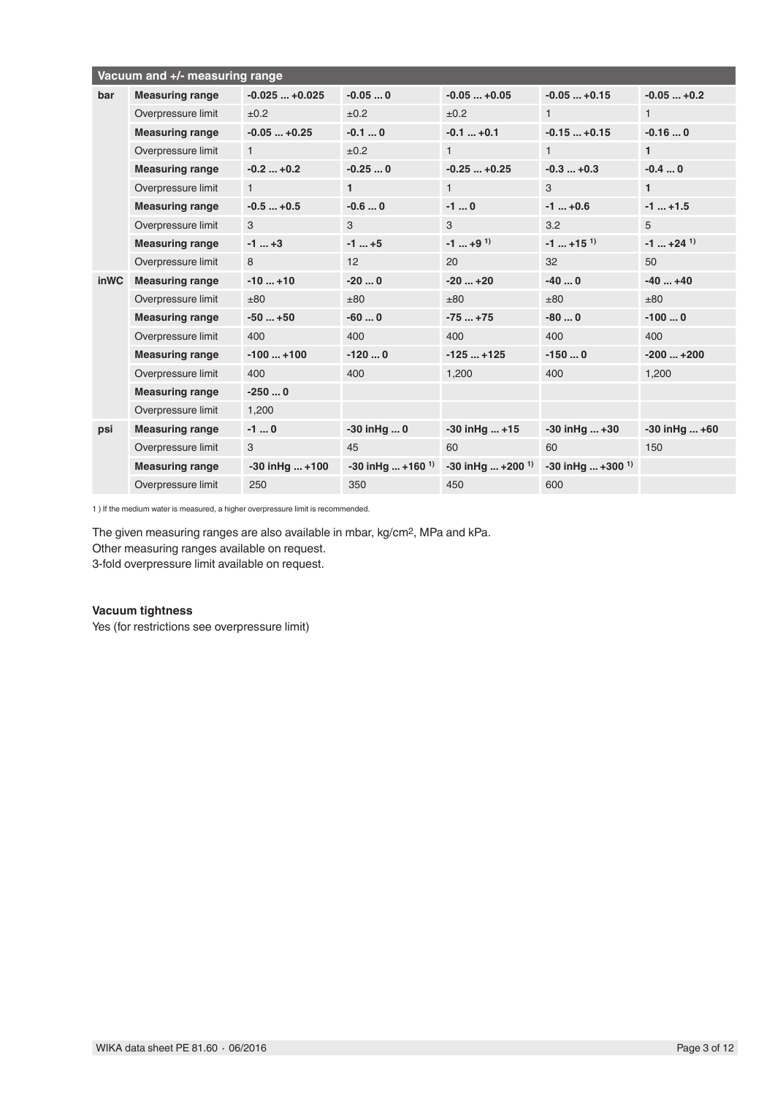|             | Vacuum and +/- measuring range |                    |                                 |                                  |                                  |                          |
|-------------|--------------------------------|--------------------|---------------------------------|----------------------------------|----------------------------------|--------------------------|
| bar         | <b>Measuring range</b>         | $-0.025+0.025$     | $-0.050$                        | $-0.05+0.05$                     | $-0.05+0.15$                     | $-0.05+0.2$              |
|             | Overpressure limit             | ±0.2               | ±0.2                            | ±0.2                             | $\mathbf{1}$                     | $\mathbf{1}$             |
|             | <b>Measuring range</b>         | $-0.05+0.25$       | $-0.10$                         | $-0.1+0.1$                       | $-0.15+0.15$                     | $-0.160$                 |
|             | Overpressure limit             | $\mathbf{1}$       | ±0.2                            | $\mathbf{1}$                     | $\mathbf{1}$                     | $\mathbf{1}$             |
|             | <b>Measuring range</b>         | $-0.2+0.2$         | $-0.250$                        | $-0.25+0.25$                     | $-0.3+0.3$                       | $-0.40$                  |
|             | Overpressure limit             | $\mathbf{1}$       | $\mathbf{1}$                    | $\mathbf{1}$                     | 3                                | $\mathbf{1}$             |
|             | <b>Measuring range</b>         | $-0.5+0.5$         | $-0.60$                         | $-10$                            | $-1$ $+0.6$                      | $-1$ $+1.5$              |
|             | Overpressure limit             | 3                  | 3                               | 3                                | 3.2                              | 5                        |
|             | <b>Measuring range</b>         | $-1$ $+3$          | $-1$ +5                         | $-1$ +9 <sup>1)</sup>            | $-1$ +15 <sup>1</sup>            | $-1$ $+24$ <sup>1)</sup> |
|             | Overpressure limit             | 8                  | 12                              | 20                               | 32                               | 50                       |
| <b>inWC</b> | <b>Measuring range</b>         | $-10+10$           | $-200$                          | $-20+20$                         | $-400$                           | $-40+40$                 |
|             | Overpressure limit             | ±80                | ±80                             | ±80                              | ±80                              | ±80                      |
|             | <b>Measuring range</b>         | $-50+50$           | $-600$                          | $-75+75$                         | $-800$                           | $-1000$                  |
|             | Overpressure limit             | 400                | 400                             | 400                              | 400                              | 400                      |
|             | <b>Measuring range</b>         | $-100+100$         | $-1200$                         | $-125+125$                       | $-1500$                          | $-200+200$               |
|             | Overpressure limit             | 400                | 400                             | 1,200                            | 400                              | 1,200                    |
|             | <b>Measuring range</b>         | $-2500$            |                                 |                                  |                                  |                          |
|             | Overpressure limit             | 1,200              |                                 |                                  |                                  |                          |
| psi         | <b>Measuring range</b>         | $-10$              | -30 inHq  0                     | $-30$ in Hq  +15                 | $-30$ in Hq $+30$                | $-30$ in Hq $+60$        |
|             | Overpressure limit             | 3                  | 45                              | 60                               | 60                               | 150                      |
|             | <b>Measuring range</b>         | $-30$ in Hq $+100$ | $-30$ in Hq  +160 <sup>1)</sup> | $-30$ in Hq $+200$ <sup>1)</sup> | $-30$ in Hq $+300$ <sup>1)</sup> |                          |
|             | Overpressure limit             | 250                | 350                             | 450                              | 600                              |                          |

1 ) If the medium water is measured, a higher overpressure limit is recommended.

The given measuring ranges are also available in mbar, kg/cm2, MPa and kPa. Other measuring ranges available on request. 3-fold overpressure limit available on request.

### **Vacuum tightness**

Yes (for restrictions see overpressure limit)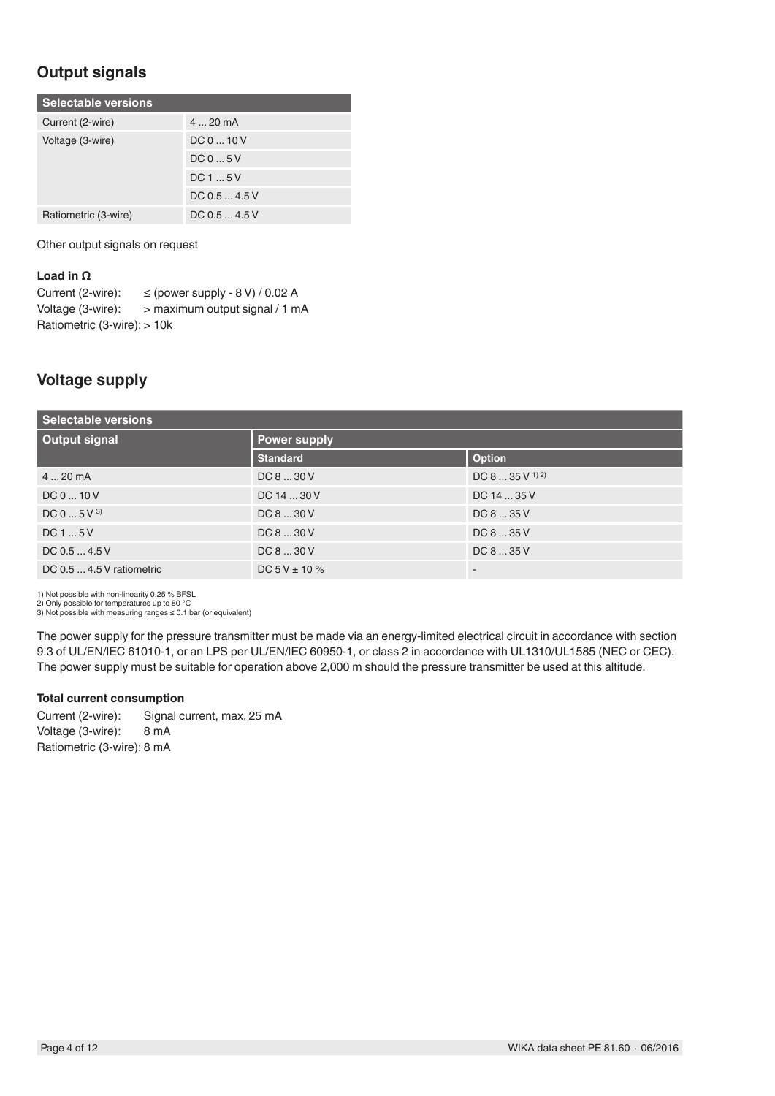## **Output signals**

| <b>Selectable versions</b> |                  |  |  |  |  |
|----------------------------|------------------|--|--|--|--|
| Current (2-wire)           | $420 \text{ mA}$ |  |  |  |  |
| Voltage (3-wire)           | DC 0  10 V       |  |  |  |  |
|                            | DC05V            |  |  |  |  |
|                            | DC15V            |  |  |  |  |
|                            | DC 0.5  4.5 V    |  |  |  |  |
| Ratiometric (3-wire)       | DC 0.5  4.5 V    |  |  |  |  |

Other output signals on request

### **Load in Ω**

| Current (2-wire):                     | $\le$ (power supply - 8 V) / 0.02 A |
|---------------------------------------|-------------------------------------|
| Voltage (3-wire):                     | > maximum output signal / 1 mA      |
| Ratiometric $(3\text{-wire})$ : > 10k |                                     |

### **Voltage supply**

| <b>Selectable versions</b> |                     |                                    |  |  |  |
|----------------------------|---------------------|------------------------------------|--|--|--|
| <b>Output signal</b>       | <b>Power supply</b> |                                    |  |  |  |
|                            | <b>Standard</b>     | Option                             |  |  |  |
| $420$ mA                   | DC 8  30 V          | DC 8 $\dots$ 35 V <sup>1) 2)</sup> |  |  |  |
| DC 0  10 V                 | DC 14  30 V         | DC 14  35 V                        |  |  |  |
| DC 0  5 V 3                | DC 8  30 V          | DC 8  35 V                         |  |  |  |
| DC15V                      | DC 8  30 V          | DC 8  35 V                         |  |  |  |
| DC 0.5  4.5 V              | DC 8  30 V          | DC 8  35 V                         |  |  |  |
| DC 0.5  4.5 V ratiometric  | DC $5V \pm 10\%$    | $\overline{\phantom{a}}$           |  |  |  |

1) Not possible with non-linearity 0.25 % BFSL 2) Only possible for temperatures up to 80 °C

3) Not possible with measuring ranges  $\leq 0.1$  bar (or equivalent)

The power supply for the pressure transmitter must be made via an energy-limited electrical circuit in accordance with section 9.3 of UL/EN/IEC 61010-1, or an LPS per UL/EN/IEC 60950-1, or class 2 in accordance with UL1310/UL1585 (NEC or CEC). The power supply must be suitable for operation above 2,000 m should the pressure transmitter be used at this altitude.

### **Total current consumption**

Current (2-wire): Signal current, max. 25 mA Voltage (3-wire): 8 mA Ratiometric (3-wire): 8 mA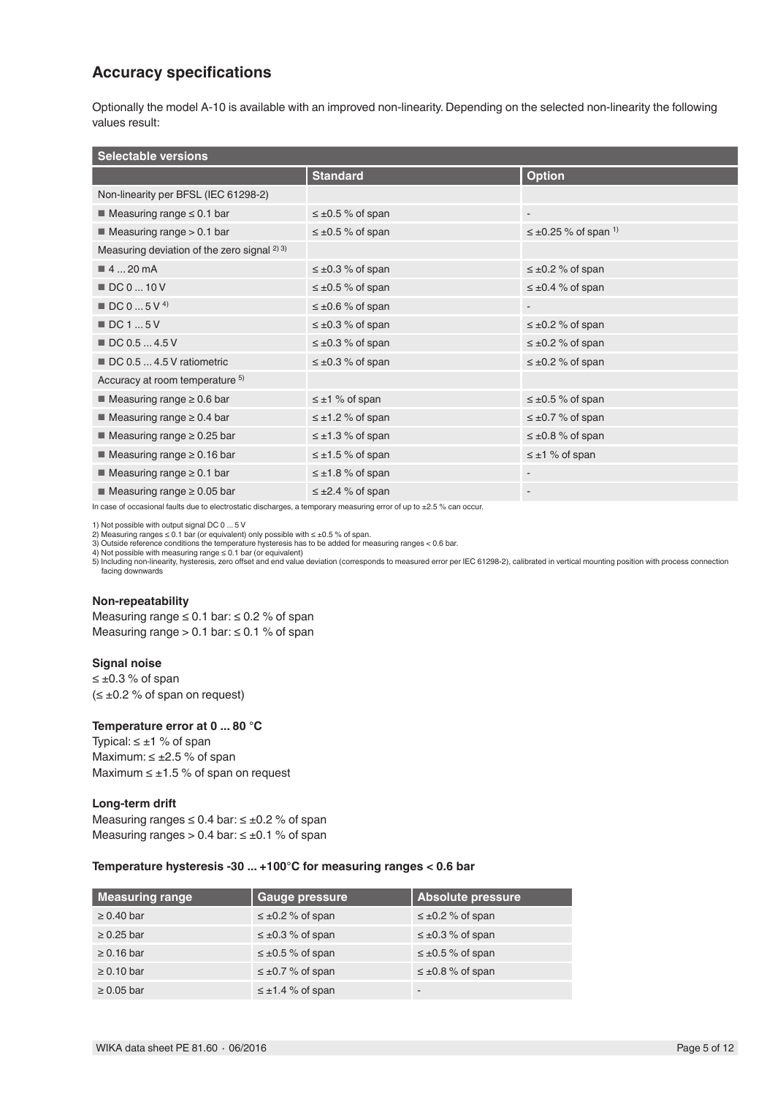### **Accuracy specifications**

Optionally the model A-10 is available with an improved non-linearity. Depending on the selected non-linearity the following values result:

| <b>Selectable versions</b>                       |                          |                                         |  |  |  |
|--------------------------------------------------|--------------------------|-----------------------------------------|--|--|--|
|                                                  | <b>Standard</b>          | <b>Option</b>                           |  |  |  |
| Non-linearity per BFSL (IEC 61298-2)             |                          |                                         |  |  |  |
| $\blacksquare$ Measuring range $\leq 0.1$ bar    | $\leq \pm 0.5$ % of span | $\overline{\phantom{a}}$                |  |  |  |
| $\blacksquare$ Measuring range $> 0.1$ bar       | $\leq \pm 0.5$ % of span | $\leq \pm 0.25$ % of span <sup>1)</sup> |  |  |  |
| Measuring deviation of the zero signal $^{2}$ 3) |                          |                                         |  |  |  |
| $\blacksquare$ 4  20 mA                          | $\leq \pm 0.3$ % of span | $\leq \pm 0.2$ % of span                |  |  |  |
| DC 0  10 V                                       | $\leq \pm 0.5$ % of span | $\leq \pm 0.4$ % of span                |  |  |  |
| $\blacksquare$ DC 0  5 V <sup>4)</sup>           | $\leq \pm 0.6$ % of span |                                         |  |  |  |
| $\blacksquare$ DC 1  5 V                         | $\leq \pm 0.3$ % of span | $\leq \pm 0.2$ % of span                |  |  |  |
| ■ DC 0.5  4.5 V                                  | $\leq \pm 0.3$ % of span | $\leq \pm 0.2$ % of span                |  |  |  |
| DC 0.5  4.5 V ratiometric                        | $\leq \pm 0.3$ % of span | $\leq \pm 0.2$ % of span                |  |  |  |
| Accuracy at room temperature 5)                  |                          |                                         |  |  |  |
| $\blacksquare$ Measuring range $\geq 0.6$ bar    | $\leq \pm 1$ % of span   | $\leq \pm 0.5$ % of span                |  |  |  |
| $\blacksquare$ Measuring range $\geq 0.4$ bar    | $\leq \pm 1.2$ % of span | $\leq \pm 0.7$ % of span                |  |  |  |
| $\blacksquare$ Measuring range $\geq 0.25$ bar   | $\leq \pm 1.3$ % of span | $\leq \pm 0.8$ % of span                |  |  |  |
| $\blacksquare$ Measuring range $\geq 0.16$ bar   | $\leq \pm 1.5$ % of span | $\leq \pm 1$ % of span                  |  |  |  |
| $\blacksquare$ Measuring range $\geq 0.1$ bar    | $\leq \pm 1.8$ % of span | $\overline{\phantom{a}}$                |  |  |  |
| $\blacksquare$ Measuring range $\geq 0.05$ bar   | $\leq \pm 2.4$ % of span | $\overline{\phantom{a}}$                |  |  |  |

In case of occasional faults due to electrostatic discharges, a temporary measuring error of up to ±2.5 % can occur.

1) Not possible with output signal DC 0 ... 5 V

2) Measuring ranges ≤ 0.1 bar (or equivalent) only possible with ≤ ±0.5 % of span.<br>3) Outside reference conditions the temperature hysteresis has to be added for measuring ranges < 0.6 bar.<br>4) Not possible with measuring

5) Including non-linearity, hysteresis, zero offset and end value deviation (corresponds to measured error per IEC 61298-2), calibrated in vertical mounting position with process connection facing downwards

#### **Non-repeatability**

Measuring range  $\leq 0.1$  bar:  $\leq 0.2$  % of span Measuring range  $> 0.1$  bar:  $\leq 0.1$  % of span

#### **Signal noise**

 $≤ ±0.3 %$  of span  $(\leq \pm 0.2$  % of span on request)

#### **Temperature error at 0 ... 80 °C**

Typical:  $\leq \pm 1$  % of span Maximum:  $\leq \pm 2.5$  % of span Maximum  $\leq \pm 1.5$  % of span on request

#### **Long-term drift**

Measuring ranges  $\leq 0.4$  bar:  $\leq \pm 0.2$  % of span Measuring ranges > 0.4 bar:  $\leq \pm 0.1$  % of span

### **Temperature hysteresis -30 ... +100°C for measuring ranges < 0.6 bar**

| Measuring range | <b>Gauge pressure</b>    | Absolute pressure        |
|-----------------|--------------------------|--------------------------|
| $\geq 0.40$ bar | $\leq \pm 0.2$ % of span | $\leq \pm 0.2$ % of span |
| $\geq 0.25$ bar | $\leq \pm 0.3$ % of span | $\leq \pm 0.3$ % of span |
| $\geq 0.16$ bar | $\leq \pm 0.5$ % of span | $\leq \pm 0.5$ % of span |
| $\geq 0.10$ bar | $\leq \pm 0.7$ % of span | $\leq \pm 0.8$ % of span |
| $\geq 0.05$ bar | $\leq \pm 1.4$ % of span | -                        |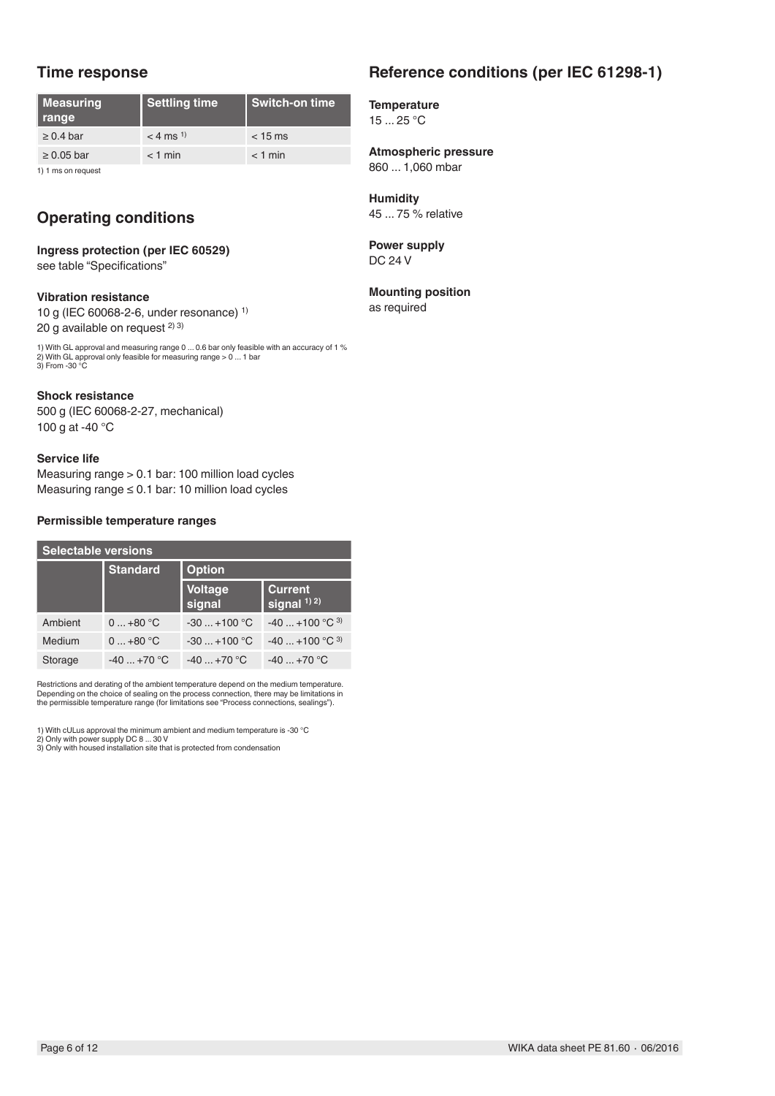### **Time response**

| Measuring<br>range | <b>Settling time</b>   | <b>Switch-on time</b> |
|--------------------|------------------------|-----------------------|
| $\geq 0.4$ bar     | $<$ 4 ms <sup>1)</sup> | $<$ 15 ms             |
| $\geq 0.05$ bar    | $<$ 1 min              | $<$ 1 min             |

1) 1 ms on request

## **Operating conditions**

### **Ingress protection (per IEC 60529)** see table "Specifications"

### **Vibration resistance**

10 g (IEC 60068-2-6, under resonance) 1) 20 g available on request  $2)$  3)

1) With GL approval and measuring range 0 ... 0.6 bar only feasible with an accuracy of 1 % 2) With GL approval only feasible for measuring range > 0 ... 1 bar 3) From -30 °C

### **Shock resistance**

500 g (IEC 60068-2-27, mechanical) 100 g at -40 °C

#### **Service life**

Measuring range > 0.1 bar: 100 million load cycles Measuring range ≤ 0.1 bar: 10 million load cycles

### **Permissible temperature ranges**

| <b>Selectable versions</b> |                 |                          |                                  |  |  |
|----------------------------|-----------------|--------------------------|----------------------------------|--|--|
|                            | <b>Standard</b> | <b>Option</b>            |                                  |  |  |
|                            |                 | <b>Voltage</b><br>signal | <b>Current</b><br>signal $1)$ 2) |  |  |
| Ambient                    | $0+80 °C$       | $-30+100$ °C             | $-40$ +100 °C <sup>3)</sup>      |  |  |
| Medium                     | $0+80 °C$       | $-30+100$ °C             | $-40$ +100 °C <sup>3)</sup>      |  |  |
| Storage                    | $-40+70$ °C     | $-40 + 70$ °C            | $-40+70$ °C                      |  |  |

Restrictions and derating of the ambient temperature depend on the medium temperature. Depending on the choice of sealing on the process connection, there may be limitations in the permissible temperature range (for limitations see "Process connections, sealings").

1) With cULus approval the minimum ambient and medium temperature is -30 °C<br>2) Only with power supply DC 8 ... 30 V<br>3) Only with housed installation site that is protected from condensation

# **Reference conditions (per IEC 61298-1)**

**Temperature** 15 ... 25 °C

**Atmospheric pressure** 860 ... 1,060 mbar

**Humidity** 45 ... 75 % relative

**Power supply** DC 24 V

### **Mounting position**

as required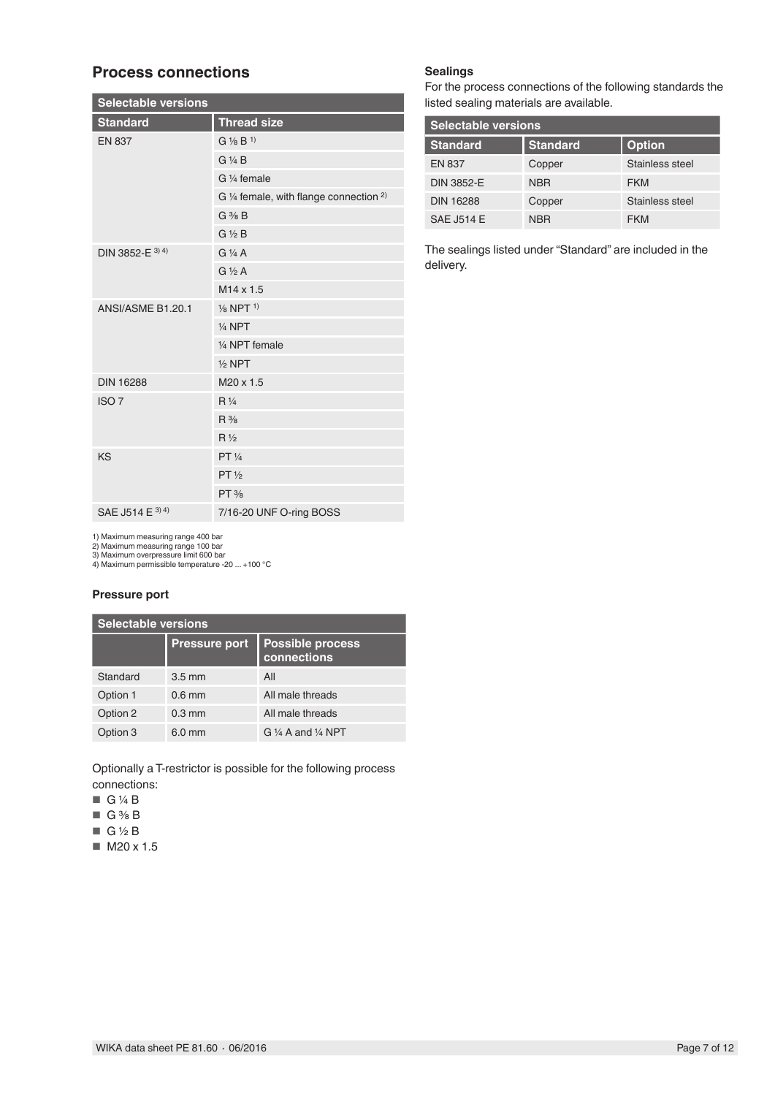### **Process connections**

| <b>Selectable versions</b> |                                                    |  |  |  |  |
|----------------------------|----------------------------------------------------|--|--|--|--|
| <b>Standard</b>            | <b>Thread size</b>                                 |  |  |  |  |
| <b>EN 837</b>              | $G\frac{1}{8}B^{1}$                                |  |  |  |  |
|                            | $G$ $\frac{1}{4}B$                                 |  |  |  |  |
|                            | G 1/ <sub>4</sub> female                           |  |  |  |  |
|                            | G 1/4 female, with flange connection <sup>2)</sup> |  |  |  |  |
|                            | $G \frac{3}{8} B$                                  |  |  |  |  |
|                            | $G\frac{1}{2}B$                                    |  |  |  |  |
| DIN 3852-E 3) 4)           | $G\frac{1}{4}A$                                    |  |  |  |  |
|                            | $G\frac{1}{2}A$                                    |  |  |  |  |
|                            | $M14 \times 1.5$                                   |  |  |  |  |
| ANSI/ASME B1.20.1          | $\frac{1}{8}$ NPT $\frac{1}{8}$                    |  |  |  |  |
|                            | $1/4$ NPT                                          |  |  |  |  |
|                            | 1/4 NPT female                                     |  |  |  |  |
|                            | $1/2$ NPT                                          |  |  |  |  |
| <b>DIN 16288</b>           | M20 x 1.5                                          |  |  |  |  |
| ISO <sub>7</sub>           | $R\frac{1}{4}$                                     |  |  |  |  |
|                            | $R\frac{3}{8}$                                     |  |  |  |  |
|                            | $R\frac{1}{2}$                                     |  |  |  |  |
| KS                         | PT 1/4                                             |  |  |  |  |
|                            | PT <sup>1</sup> / <sub>2</sub>                     |  |  |  |  |
|                            | $PT$ %                                             |  |  |  |  |
| SAE J514 E 3) 4)           | 7/16-20 UNF O-ring BOSS                            |  |  |  |  |

### **Sealings**

For the process connections of the following standards the listed sealing materials are available.

| Selectable versions |                 |                 |  |  |  |
|---------------------|-----------------|-----------------|--|--|--|
| <b>Standard</b>     | <b>Standard</b> | <b>Option</b>   |  |  |  |
| <b>EN 837</b>       | Copper          | Stainless steel |  |  |  |
| <b>DIN 3852-E</b>   | <b>NBR</b>      | <b>FKM</b>      |  |  |  |
| <b>DIN 16288</b>    | Copper          | Stainless steel |  |  |  |
| <b>SAE J514 E</b>   | <b>NBR</b>      | <b>FKM</b>      |  |  |  |

The sealings listed under "Standard" are included in the delivery.

1) Maximum measuring range 400 bar

2) Maximum measuring range 100 bar 3) Maximum overpressure limit 600 bar 4) Maximum permissible temperature -20 ... +100 °C

### **Pressure port**

| <b>Selectable versions</b> |                      |                                         |  |
|----------------------------|----------------------|-----------------------------------------|--|
|                            | <b>Pressure port</b> | <b>Possible process</b><br>connections  |  |
| Standard                   | $3.5 \text{ mm}$     | All                                     |  |
| Option 1                   | $0.6$ mm             | All male threads                        |  |
| Option 2                   | $0.3 \text{ mm}$     | All male threads                        |  |
| Option 3                   | $6.0 \text{ mm}$     | G $\frac{1}{4}$ A and $\frac{1}{4}$ NPT |  |

Optionally a T-restrictor is possible for the following process connections:

- $\Box$  G ¼ B
- $\Box$  G  $\frac{3}{8}$  B
- $\blacksquare$  G ½ B
- M20 x 1.5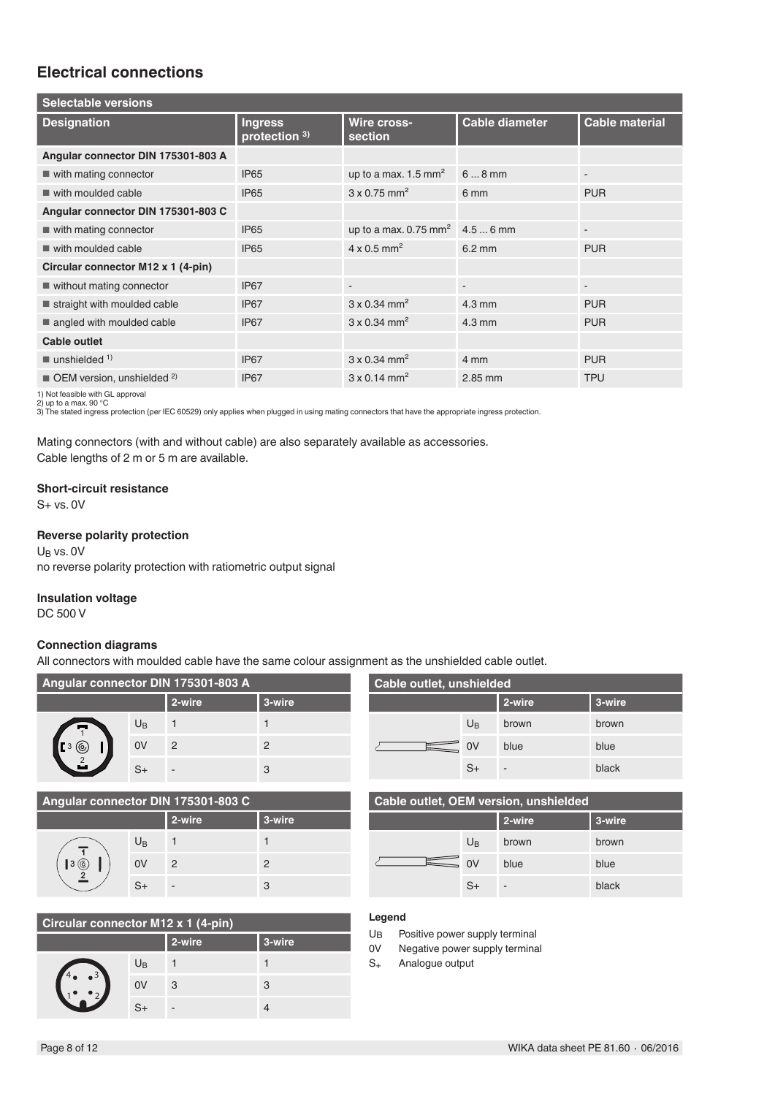### **Electrical connections**

| <b>Ingress</b><br>protection 3) | Wire cross-<br>section          | <b>Cable diameter</b>    | <b>Cable material</b>                       |
|---------------------------------|---------------------------------|--------------------------|---------------------------------------------|
|                                 |                                 |                          |                                             |
| <b>IP65</b>                     | up to a max. $1.5 \text{ mm}^2$ | $68$ mm                  | $\overline{\phantom{a}}$                    |
| <b>IP65</b>                     | $3 \times 0.75$ mm <sup>2</sup> | 6 mm                     | <b>PUR</b>                                  |
|                                 |                                 |                          |                                             |
| <b>IP65</b>                     |                                 |                          | $\overline{\phantom{a}}$                    |
| <b>IP65</b>                     | $4 \times 0.5$ mm <sup>2</sup>  | $6.2 \text{ mm}$         | <b>PUR</b>                                  |
|                                 |                                 |                          |                                             |
| IP <sub>67</sub>                | $\overline{\phantom{a}}$        | $\overline{\phantom{a}}$ | $\overline{\phantom{a}}$                    |
| IP <sub>67</sub>                | $3 \times 0.34$ mm <sup>2</sup> | $4.3 \text{ mm}$         | <b>PUR</b>                                  |
| IP <sub>67</sub>                | $3 \times 0.34$ mm <sup>2</sup> | $4.3 \text{ mm}$         | <b>PUR</b>                                  |
|                                 |                                 |                          |                                             |
| IP <sub>67</sub>                | $3 \times 0.34$ mm <sup>2</sup> | 4 mm                     | <b>PUR</b>                                  |
| IP <sub>67</sub>                | $3 \times 0.14$ mm <sup>2</sup> | 2.85 mm                  | <b>TPU</b>                                  |
|                                 |                                 |                          | up to a max. 0.75 mm <sup>2</sup> 4.5  6 mm |

1) Not feasible with GL approval<br>2) up to a max. 90 °C<br>3) The stated ingress protection (per IEC 60529) only applies when plugged in using mating connectors that have the appropriate ingress protection.

Mating connectors (with and without cable) are also separately available as accessories. Cable lengths of 2 m or 5 m are available.

#### **Short-circuit resistance**

S+ vs. 0V

### **Reverse polarity protection**

 $U_B$  vs. 0V no reverse polarity protection with ratiometric output signal

#### **Insulation voltage**

DC 500 V

### **Connection diagrams**

All connectors with moulded cable have the same colour assignment as the unshielded cable outlet.

| Angular connector DIN 175301-803 A |             |        |        |  |
|------------------------------------|-------------|--------|--------|--|
|                                    |             | 2-wire | 3-wire |  |
| $\frac{1}{2}$                      | $U_{\rm B}$ |        |        |  |
| (o,                                | 0V          | 2      | 2      |  |
|                                    | $S+$        |        | 3      |  |

| Cable outlet, unshielded |                |        |        |  |
|--------------------------|----------------|--------|--------|--|
|                          |                | 2-wire | 3-wire |  |
|                          | $U_{\text{B}}$ | brown  | brown  |  |
|                          | 0V             | blue   | blue   |  |
|                          | $S+$           | -      | black  |  |

| Angular connector DIN 175301-803 C |             |        |        |  |
|------------------------------------|-------------|--------|--------|--|
|                                    |             | 2-wire | 3-wire |  |
| l 3<br>(6                          | $U_{\rm B}$ |        |        |  |
|                                    | 0V          | 2      | 2      |  |
|                                    | $S_{+}$     |        | 3      |  |

| Circular connector M12 x 1 (4-pin) |             |        |        |  |
|------------------------------------|-------------|--------|--------|--|
|                                    |             | 2-wire | 3-wire |  |
| $-3$                               | $U_{\rm B}$ |        |        |  |
|                                    | 0V          | 3      | 3      |  |
|                                    | Cı          |        |        |  |

| Cable outlet, OEM version, unshielded |                |        |        |  |
|---------------------------------------|----------------|--------|--------|--|
|                                       |                | 2-wire | 3-wire |  |
|                                       | U <sub>R</sub> | brown  | brown  |  |
|                                       |                | blue   | blue   |  |

S<sub>+</sub> - black

| . .<br>× |  |
|----------|--|

- U<sub>B</sub> Positive power supply terminal<br>0V Negative power supply termina
- Negative power supply terminal
- S+ Analogue output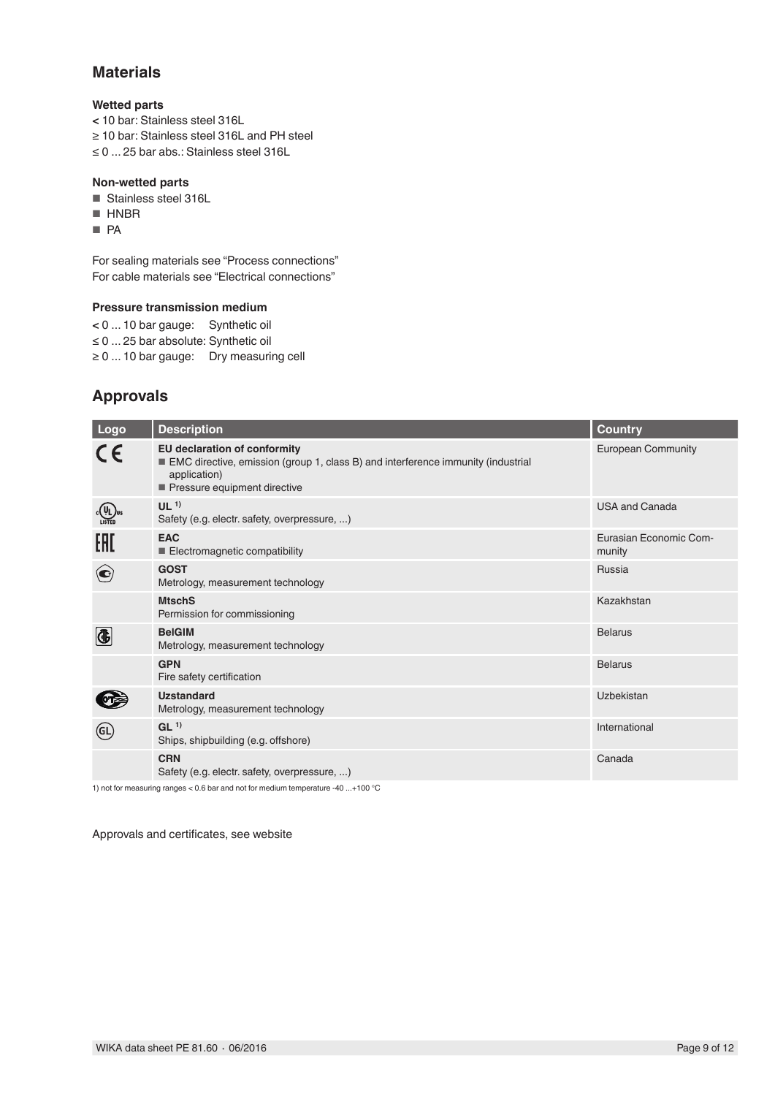### **Materials**

### **Wetted parts**

**<** 10 bar: Stainless steel 316L ≥ 10 bar: Stainless steel 316L and PH steel ≤ 0 ... 25 bar abs.: Stainless steel 316L

### **Non-wetted parts**

- Stainless steel 316L
- HNBR
- PA

For sealing materials see "Process connections" For cable materials see "Electrical connections"

### **Pressure transmission medium**

**<** 0 ... 10 bar gauge: Synthetic oil ≤ 0 ... 25 bar absolute: Synthetic oil ≥ 0 ... 10 bar gauge: Dry measuring cell

## **Approvals**

| Logo                        | <b>Description</b>                                                                                                                                                      | <b>Country</b>                   |
|-----------------------------|-------------------------------------------------------------------------------------------------------------------------------------------------------------------------|----------------------------------|
| CE                          | <b>EU declaration of conformity</b><br>EMC directive, emission (group 1, class B) and interference immunity (industrial<br>application)<br>Pressure equipment directive | <b>European Community</b>        |
| C(VL) <sub>U</sub><br>Usted | UL <sup>1</sup><br>Safety (e.g. electr. safety, overpressure, )                                                                                                         | <b>USA and Canada</b>            |
| EAC                         | <b>EAC</b><br>Electromagnetic compatibility                                                                                                                             | Eurasian Economic Com-<br>munity |
| $(\mathbf{C})$              | <b>GOST</b><br>Metrology, measurement technology                                                                                                                        | Russia                           |
|                             | <b>MtschS</b><br>Permission for commissioning                                                                                                                           | Kazakhstan                       |
| 4                           | <b>BelGIM</b><br>Metrology, measurement technology                                                                                                                      | <b>Belarus</b>                   |
|                             | <b>GPN</b><br>Fire safety certification                                                                                                                                 | <b>Belarus</b>                   |
|                             | <b>Uzstandard</b><br>Metrology, measurement technology                                                                                                                  | <b>Uzbekistan</b>                |
| (GL                         | GL <sup>1</sup><br>Ships, shipbuilding (e.g. offshore)                                                                                                                  | International                    |
|                             | <b>CRN</b><br>Safety (e.g. electr. safety, overpressure, )                                                                                                              | Canada                           |

1) not for measuring ranges < 0.6 bar and not for medium temperature -40 ...+100 °C

Approvals and certificates, see website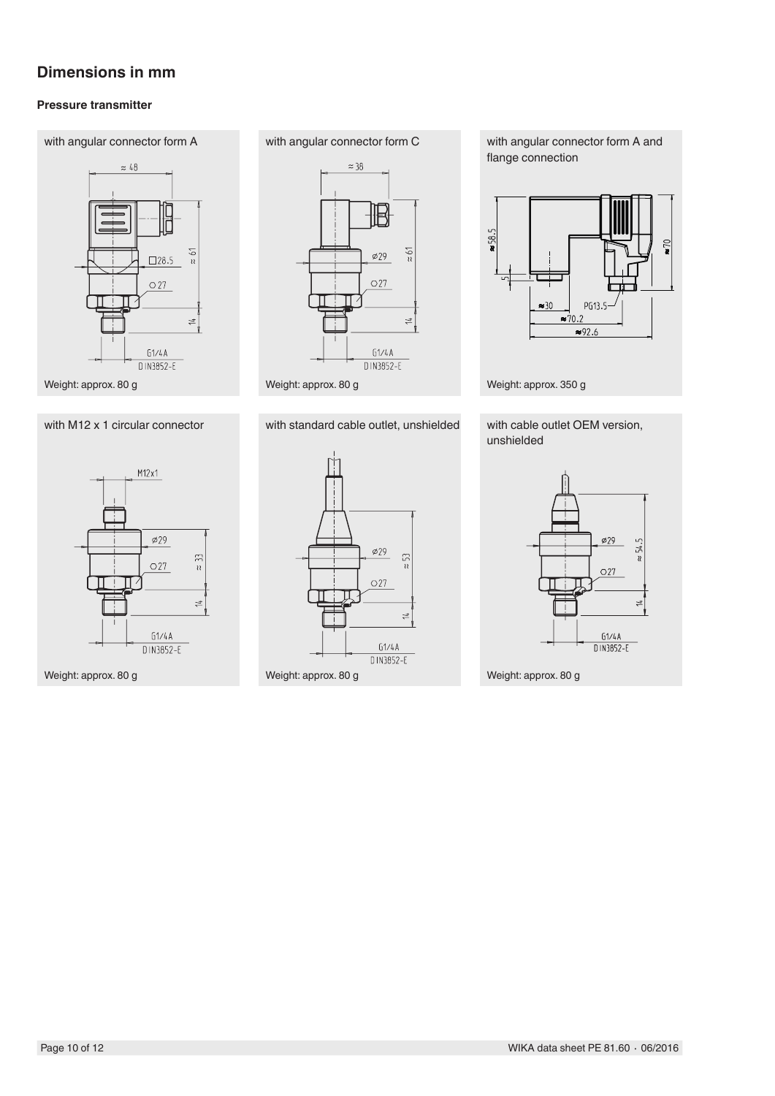### **Dimensions in mm**

### **Pressure transmitter**







 $\approx$  38 **IB**  $rac{5}{u}$  $\varphi$  29  $\bigcirc$  27  $\frac{1}{4}$  $G1/4A$ D IN3852-E

with angular connector form A and flange connection



Weight: approx. 350 g

with M12 x 1 circular connector with standard cable outlet, unshielded with cable outlet OEM version, unshielded



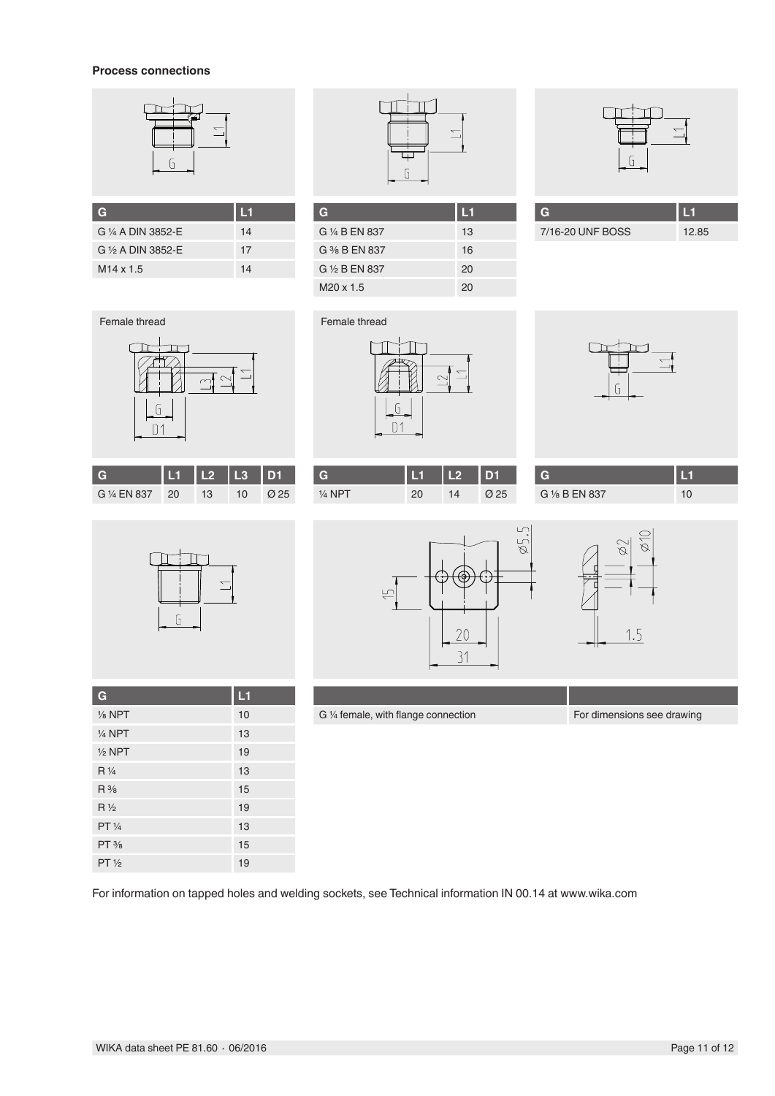### **Process connections**



| G                  | L1 |
|--------------------|----|
| G 1/4 A DIN 3852-E | 14 |
| G 1/2 A DIN 3852-E | 17 |
| $M14 \times 1.5$   | 14 |



| G                        | L1 |
|--------------------------|----|
| G 1/4 B EN 837           | 13 |
| $G \frac{3}{8} B$ FN 837 | 16 |
| G 1/2 B EN 837           | 20 |
| M <sub>20</sub> x 1.5    | 20 |



| 7/16-20 UNF BOSS | 12.85 |
|------------------|-------|



|              |    | $\overline{12}$ |    | <b>D</b> 1 |
|--------------|----|-----------------|----|------------|
| G 1/4 EN 837 | 20 | 13              | 10 |            |



|           |    | <b>CO</b> | D <sub>1</sub> | G              |     |
|-----------|----|-----------|----------------|----------------|-----|
| $1/4$ NPT | 20 | 14        | Ø 25           | G 1/8 B EN 837 | ט ו |



| G                 | L1 |
|-------------------|----|
| $\frac{1}{8}$ NPT | 10 |
| $1/4$ NPT         | 13 |
| $1/2$ NPT         | 19 |
| $R\frac{1}{4}$    | 13 |
| $R\frac{3}{8}$    | 15 |
| $R\frac{1}{2}$    | 19 |
| PT 1/4            | 13 |
| $PT\frac{3}{8}$   | 15 |
| $PT\frac{1}{2}$   | 19 |





G 1/4 female, with flange connection For dimensions see drawing

For information on tapped holes and welding sockets, see Technical information IN 00.14 at www.wika.com